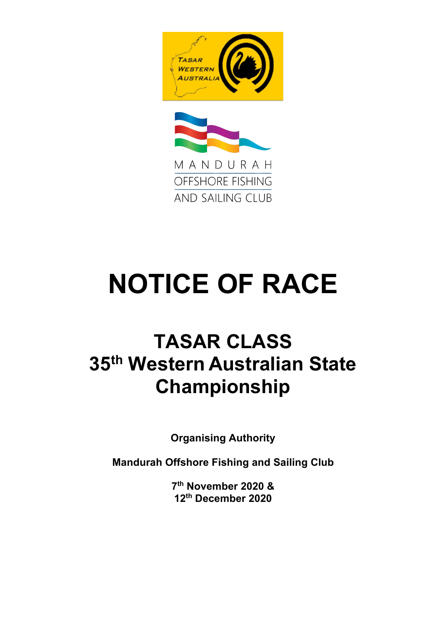



# **NOTICE OF RACE**

# **TASAR CLASS 35th Western Australian State Championship**

**Organising Authority**

**Mandurah Offshore Fishing and Sailing Club**

**7th November 2020 & 12th December 2020**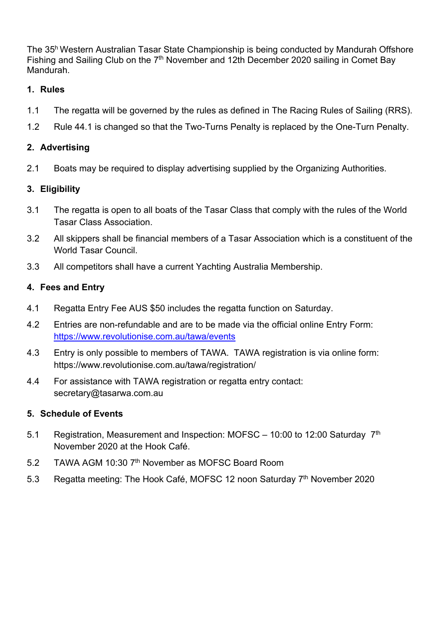The 35h Western Australian Tasar State Championship is being conducted by Mandurah Offshore Fishing and Sailing Club on the  $7<sup>th</sup>$  November and 12th December 2020 sailing in Comet Bay Mandurah.

#### **1. Rules**

- 1.1 The regatta will be governed by the rules as defined in The Racing Rules of Sailing (RRS).
- 1.2 Rule 44.1 is changed so that the Two-Turns Penalty is replaced by the One-Turn Penalty.

# **2. Advertising**

2.1 Boats may be required to display advertising supplied by the Organizing Authorities.

# **3. Eligibility**

- 3.1 The regatta is open to all boats of the Tasar Class that comply with the rules of the World Tasar Class Association.
- 3.2 All skippers shall be financial members of a Tasar Association which is a constituent of the World Tasar Council.
- 3.3 All competitors shall have a current Yachting Australia Membership.

# **4. Fees and Entry**

- 4.1 Regatta Entry Fee AUS \$50 includes the regatta function on Saturday.
- 4.2 Entries are non-refundable and are to be made via the official online Entry Form: https://www.revolutionise.com.au/tawa/events
- 4.3 Entry is only possible to members of TAWA. TAWA registration is via online form: https://www.revolutionise.com.au/tawa/registration/
- 4.4 For assistance with TAWA registration or regatta entry contact: secretary@tasarwa.com.au

# **5. Schedule of Events**

- 5.1 Registration, Measurement and Inspection: MOFSC 10:00 to 12:00 Saturday 7th November 2020 at the Hook Café.
- 5.2 TAWA AGM 10:30 7<sup>th</sup> November as MOFSC Board Room
- 5.3 Regatta meeting: The Hook Café, MOFSC 12 noon Saturday 7<sup>th</sup> November 2020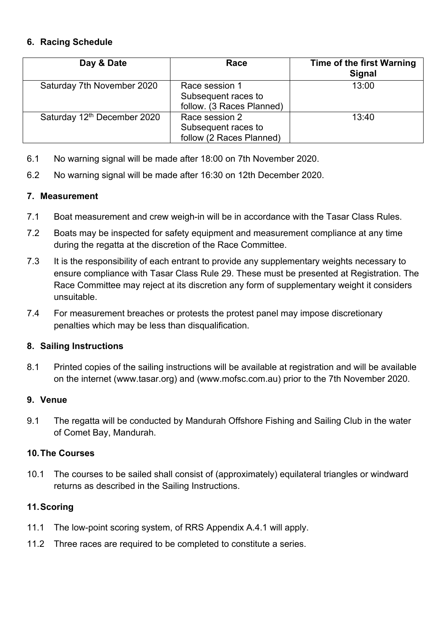#### **6. Racing Schedule**

| Day & Date                              | Race                                                               | <b>Time of the first Warning</b><br><b>Signal</b> |
|-----------------------------------------|--------------------------------------------------------------------|---------------------------------------------------|
| Saturday 7th November 2020              | Race session 1<br>Subsequent races to<br>follow. (3 Races Planned) | 13:00                                             |
| Saturday 12 <sup>th</sup> December 2020 | Race session 2<br>Subsequent races to<br>follow (2 Races Planned)  | 13:40                                             |

- 6.1 No warning signal will be made after 18:00 on 7th November 2020.
- 6.2 No warning signal will be made after 16:30 on 12th December 2020.

#### **7. Measurement**

- 7.1 Boat measurement and crew weigh-in will be in accordance with the Tasar Class Rules.
- 7.2 Boats may be inspected for safety equipment and measurement compliance at any time during the regatta at the discretion of the Race Committee.
- 7.3 It is the responsibility of each entrant to provide any supplementary weights necessary to ensure compliance with Tasar Class Rule 29. These must be presented at Registration. The Race Committee may reject at its discretion any form of supplementary weight it considers unsuitable.
- 7.4 For measurement breaches or protests the protest panel may impose discretionary penalties which may be less than disqualification.

#### **8. Sailing Instructions**

8.1 Printed copies of the sailing instructions will be available at registration and will be available on the internet (www.tasar.org) and (www.mofsc.com.au) prior to the 7th November 2020.

#### **9. Venue**

9.1 The regatta will be conducted by Mandurah Offshore Fishing and Sailing Club in the water of Comet Bay, Mandurah.

# **10.The Courses**

10.1 The courses to be sailed shall consist of (approximately) equilateral triangles or windward returns as described in the Sailing Instructions.

# **11.Scoring**

- 11.1 The low-point scoring system, of RRS Appendix A.4.1 will apply.
- 11.2 Three races are required to be completed to constitute a series.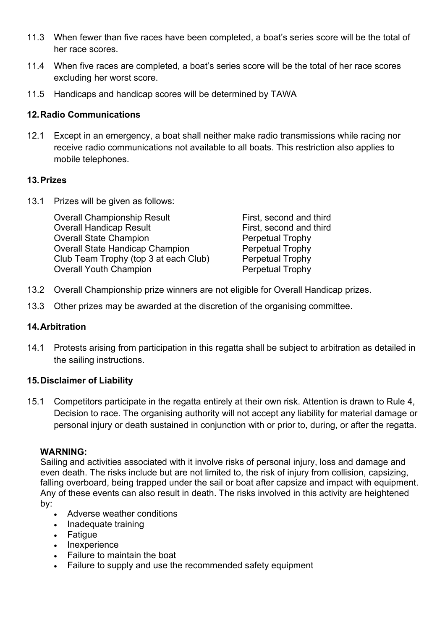- 11.3 When fewer than five races have been completed, a boat's series score will be the total of her race scores.
- 11.4 When five races are completed, a boat's series score will be the total of her race scores excluding her worst score.
- 11.5 Handicaps and handicap scores will be determined by TAWA

#### **12.Radio Communications**

12.1 Except in an emergency, a boat shall neither make radio transmissions while racing nor receive radio communications not available to all boats. This restriction also applies to mobile telephones.

#### **13.Prizes**

13.1 Prizes will be given as follows:

| <b>Overall Championship Result</b>     | First, second and third |
|----------------------------------------|-------------------------|
| <b>Overall Handicap Result</b>         | First, second and third |
| <b>Overall State Champion</b>          | <b>Perpetual Trophy</b> |
| <b>Overall State Handicap Champion</b> | <b>Perpetual Trophy</b> |
| Club Team Trophy (top 3 at each Club)  | Perpetual Trophy        |
| <b>Overall Youth Champion</b>          | <b>Perpetual Trophy</b> |

- 13.2 Overall Championship prize winners are not eligible for Overall Handicap prizes.
- 13.3 Other prizes may be awarded at the discretion of the organising committee.

# **14.Arbitration**

14.1 Protests arising from participation in this regatta shall be subject to arbitration as detailed in the sailing instructions.

#### **15.Disclaimer of Liability**

15.1 Competitors participate in the regatta entirely at their own risk. Attention is drawn to Rule 4, Decision to race. The organising authority will not accept any liability for material damage or personal injury or death sustained in conjunction with or prior to, during, or after the regatta.

#### **WARNING:**

Sailing and activities associated with it involve risks of personal injury, loss and damage and even death. The risks include but are not limited to, the risk of injury from collision, capsizing, falling overboard, being trapped under the sail or boat after capsize and impact with equipment. Any of these events can also result in death. The risks involved in this activity are heightened by:

- Adverse weather conditions
- Inadequate training
- Fatigue
- Inexperience
- Failure to maintain the boat
- Failure to supply and use the recommended safety equipment